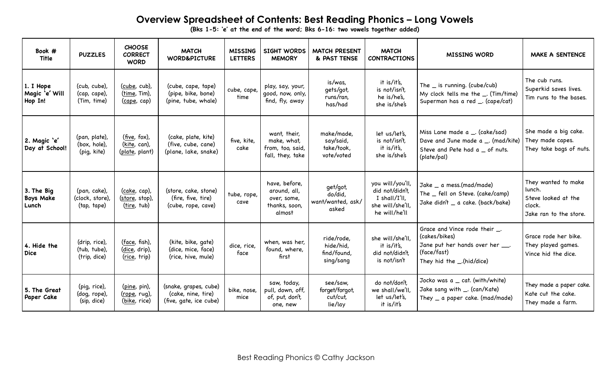## **Overview Spreadsheet of Contents: Best Reading Phonics – Long Vowels**

**(Bks 1-5: 'e' at the end of the word; Bks 6-16: two vowels together added)**

| Book #<br>Title                         | <b>PUZZLES</b>                                 | <b>CHOOSE</b><br><b>CORRECT</b><br><b>WORD</b>    | <b>MATCH</b><br><b>WORD&amp;PICTURE</b>                               | <b>MISSING</b><br><b>LETTERS</b> | <b>SIGHT WORDS</b><br><b>MEMORY</b>                                     | <b>MATCH PRESENT</b><br>& PAST TENSE                | <b>MATCH</b><br><b>CONTRACTIONS</b>                                                       | <b>MISSING WORD</b>                                                                                                            | <b>MAKE A SENTENCE</b>                                                                   |
|-----------------------------------------|------------------------------------------------|---------------------------------------------------|-----------------------------------------------------------------------|----------------------------------|-------------------------------------------------------------------------|-----------------------------------------------------|-------------------------------------------------------------------------------------------|--------------------------------------------------------------------------------------------------------------------------------|------------------------------------------------------------------------------------------|
| 1. I Hope<br>Magic 'e' Will<br>Hop In!  | (cub, cube),<br>(cap, cape),<br>(Tim, time)    | (cube, cub),<br>(time, Tim),<br>(cape, cap)       | (cube, cape, tape)<br>(pipe, bike, bone)<br>(pine, tube, whale)       | cube, cape,<br>time              | play, say, your,<br>good, now, only,<br>find, fly, away                 | is/was,<br>gets/got,<br>runs/ran,<br>has/had        | it is/it's,<br>is not/isn't,<br>he is/he's,<br>she is/she's                               | The $\_$ is running. (cube/cub)<br>My clock tells me the _. (Tim/time)<br>Superman has a red _. (cape/cat)                     | The cub runs.<br>Superkid saves lives.<br>Tim runs to the bases.                         |
| 2. Magic 'e'<br>Day at School!          | (pan, plate),<br>(box, hole),<br>(pig, kite)   | $(five, fox)$ ,<br>(kite, can),<br>(plate, plant) | (cake, plate, kite)<br>(five, cube, cane)<br>(plane, lake, snake)     | five, kite,<br>cake              | want, their,<br>make, what,<br>from, too, said,<br>fall, they, take     | make/made,<br>say/said,<br>take/took,<br>vote/voted | let us/let's,<br>is not/isn't,<br>it is/it's,<br>she is/she's                             | Miss Lane made a _. (cake/sad)<br>Dave and June made a _. (mad/kite)<br>Steve and Pete had a _ of nuts.<br>(plate/pal)         | She made a big cake.<br>They made capes.<br>They take bags of nuts.                      |
| 3. The Big<br><b>Boys Make</b><br>Lunch | (pan, cake),<br>(clock, store),<br>(tap, tape) | (cake, cap),<br>(store, stop),<br>(tire, tub)     | (store, cake, stone)<br>(fire, five, tire)<br>(cube, rope, cave)      | tube, rope,<br>cave              | have, before,<br>around, all,<br>over, some,<br>thanks, soon,<br>almost | get/got,<br>do/did,<br>want/wanted, ask/<br>asked   | you will/you'll,<br>did not/didn't,<br>I shall/I'll,<br>she will/she'll,<br>he will/he'll | Jake _ a mess.(mad/made)<br>The _ fell on Steve. (cake/camp)<br>Jake didn't _ a cake. (back/bake)                              | They wanted to make<br>lunch.<br>Steve looked at the<br>clock.<br>Jake ran to the store. |
| 4. Hide the<br><b>Dice</b>              | (drip, rice),<br>(tub, tube),<br>(trip, dice)  | (face, fish),<br>(dice, drip),<br>(rice, trip)    | (kite, bike, gate)<br>(dice, mice, face)<br>(rice, hive, mule)        | dice, rice,<br>face              | when, was her,<br>found, where,<br>first                                | ride/rode,<br>hide/hid,<br>find/found,<br>sing/sang | she will/she'll,<br>it is/it's,<br>did not/didn't,<br>is not/isn't                        | Grace and Vince rode their _.<br>(cakes/bikes)<br>Jane put her hands over her ___.<br>(face/fast)<br>They hid the _.(hid/dice) | Grace rode her bike.<br>They played games.<br>Vince hid the dice.                        |
| 5. The Great<br>Paper Cake              | (pig, rice),<br>(dog, rope),<br>(sip, dice)    | (pine, pin),<br>(rope, rug),<br>(bike, rice)      | (snake, grapes, cube)<br>(cake, nine, tire)<br>(five, gate, ice cube) | bike, nose,<br>mice              | saw, today,<br>pull, down, off,<br>of, put, don't,<br>one, new          | see/saw,<br>forget/forgot,<br>cut/cut,<br>lie/lay   | do not/don't,<br>we shall/we'll,<br>let us/let's,<br>it is/it's                           | Jocko was a _ cat. (with/white)<br>Jake sang with _. (can/Kate)<br>They $\equiv$ a paper cake. (mad/made)                      | They made a paper cake.<br>Kate cut the cake.<br>They made a farm.                       |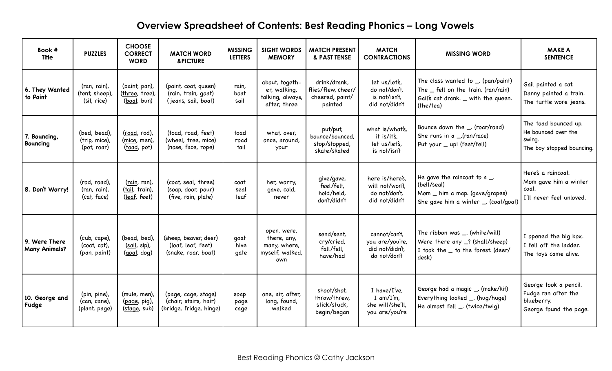## **Overview Spreadsheet of Contents: Best Reading Phonics – Long Vowels**

| Book #<br><b>Title</b>                | <b>PUZZLES</b>                                | <b>CHOOSE</b><br><b>CORRECT</b><br><b>WORD</b> | <b>MATCH WORD</b><br><b>&amp;PICTURE</b>                                | <b>MISSING</b><br><b>LETTERS</b> | <b>SIGHT WORDS</b><br><b>MEMORY</b>                                  | <b>MATCH PRESENT</b><br>& PAST TENSE                             | <b>MATCH</b><br><b>CONTRACTIONS</b>                                   | <b>MISSING WORD</b>                                                                                                                | <b>MAKE A</b><br><b>SENTENCE</b>                                                     |
|---------------------------------------|-----------------------------------------------|------------------------------------------------|-------------------------------------------------------------------------|----------------------------------|----------------------------------------------------------------------|------------------------------------------------------------------|-----------------------------------------------------------------------|------------------------------------------------------------------------------------------------------------------------------------|--------------------------------------------------------------------------------------|
| 6. They Wanted<br>to Paint            | (ran, rain),<br>(tent, sheep),<br>(sit, rice) | (paint, pan),<br>(three, tree),<br>(boat, bun) | (paint, coat, queen)<br>(rain, train, goat)<br>(jeans, sail, boat)      | rain,<br>boat<br>sail            | about, togeth-<br>er, walking,<br>talking, always,<br>after, three   | drink/drank,<br>flies/flew, cheer/<br>cheered, paint/<br>painted | let us/let's,<br>do not/don't,<br>is not/isn't,<br>did not/didn't     | The class wanted to $\_\_$ . (pan/paint)<br>The  fell on the train. (ran/rain)<br>Gail's cat drank. _ with the queen.<br>(the/tea) | Gail painted a cat.<br>Danny painted a train.<br>The turtle wore jeans.              |
| 7. Bouncing,<br><b>Bouncing</b>       | (bed, bead),<br>(trip, mice),<br>(pot, roar)  | (road, rod),<br>(mice, men),<br>(toad, pot)    | (toad, road, feet)<br>(wheel, tree, mice)<br>(nose, face, rope)         | toad<br>road<br>tail             | what, over,<br>once, around,<br>your                                 | put/put,<br>bounce/bounced,<br>stop/stopped,<br>skate/skated     | what is/what's,<br>it is/it's,<br>let us/let's,<br>is not/isn't       | Bounce down the _. (roar/road)<br>She runs in $a$ _(ran/race)<br>Put your _ up! (feet/fell)                                        | The toad bounced up.<br>He bounced over the<br>swing.<br>The boy stopped bouncing.   |
| 8. Don't Worry!                       | (rod, road),<br>(ran, rain),<br>(cat, face)   | (rain, ran),<br>(tail, train),<br>(leaf, feet) | (coat, seal, three)<br>(soap, door, pour)<br>(five, rain, plate)        | coat<br>seal<br>leaf             | her, worry,<br>gave, cold,<br>never                                  | give/gave,<br>feel/felt,<br>hold/held,<br>don't/didn't           | here is/here's,<br>will not/won't,<br>do not/don't,<br>did not/didn't | He gave the raincoat to $a$ _.<br>(bell/seal)<br>Mom _ him a map. (gave/grapes)<br>She gave him a winter _. (coat/goat)            | Here's a raincoat.<br>Mom gave him a winter<br>coat.<br>I'll never feel unloved.     |
| 9. Were There<br><b>Many Animals?</b> | (cub, cape),<br>(coat, cot),<br>(pan, paint)  | (bead, bed),<br>(sail, sip),<br>(qoat, dog)    | (sheep, beaver, deer)<br>(loaf, leaf, feet)<br>(snake, roar, boat)      | goat<br>hive<br>gate             | open, were,<br>there, any,<br>many, where,<br>myself, walked,<br>own | send/sent,<br>cry/cried,<br>fall/fell,<br>have/had               | cannot/can't,<br>you are/you're,<br>did not/didn't,<br>do not/don't   | The ribbon was _. (white/will)<br>Were there any _? (shall/sheep)<br>I took the _ to the forest. (deer/<br>desk)                   | I opened the big box.<br>I fell off the ladder.<br>The toys came alive.              |
| 10. George and<br>Fudge               | (pin, pine),<br>(can, cane),<br>(plant, page) | (mule, men),<br>(page, pig),<br>(stage, sub)   | (page, cage, stage)<br>(chair, stairs, hair)<br>(bridge, fridge, hinge) | soap<br>page<br>cage             | one, air, after,<br>long, found,<br>walked                           | shoot/shot,<br>throw/threw,<br>stick/stuck,<br>begin/began       | I have/I've,<br>I am/I'm,<br>she will/she'll,<br>you are/you're       | George had a magic _. (make/kit)<br>Everything looked _. (hug/huge)<br>He almost fell _. (twice/twig)                              | George took a pencil.<br>Fudge ran after the<br>blueberry.<br>George found the page. |